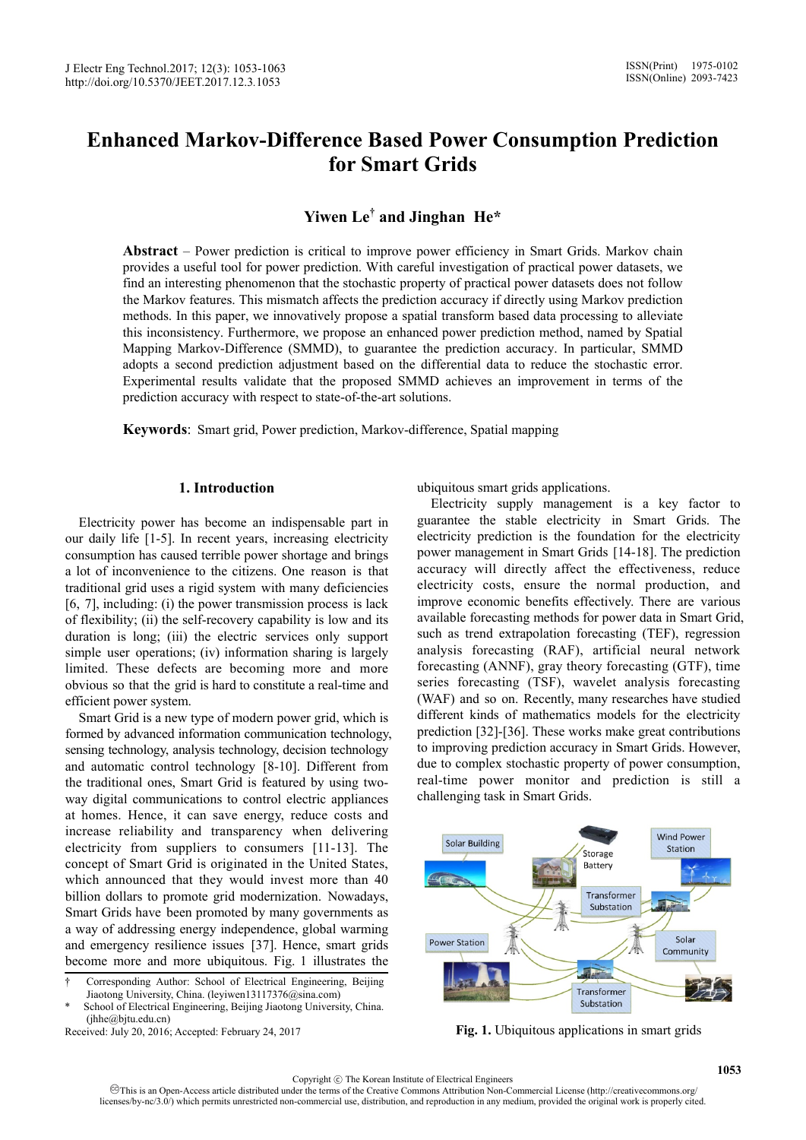# **Enhanced Markov-Difference Based Power Consumption Prediction for Smart Grids**

# **Yiwen Le† and Jinghan He\***

**Abstract** – Power prediction is critical to improve power efficiency in Smart Grids. Markov chain provides a useful tool for power prediction. With careful investigation of practical power datasets, we find an interesting phenomenon that the stochastic property of practical power datasets does not follow the Markov features. This mismatch affects the prediction accuracy if directly using Markov prediction methods. In this paper, we innovatively propose a spatial transform based data processing to alleviate this inconsistency. Furthermore, we propose an enhanced power prediction method, named by Spatial Mapping Markov-Difference (SMMD), to guarantee the prediction accuracy. In particular, SMMD adopts a second prediction adjustment based on the differential data to reduce the stochastic error. Experimental results validate that the proposed SMMD achieves an improvement in terms of the prediction accuracy with respect to state-of-the-art solutions.

**Keywords**: Smart grid, Power prediction, Markov-difference, Spatial mapping

# **1. Introduction**

Electricity power has become an indispensable part in our daily life [1-5]. In recent years, increasing electricity consumption has caused terrible power shortage and brings a lot of inconvenience to the citizens. One reason is that traditional grid uses a rigid system with many deficiencies [6, 7], including: (i) the power transmission process is lack of flexibility; (ii) the self-recovery capability is low and its duration is long; (iii) the electric services only support simple user operations; (iv) information sharing is largely limited. These defects are becoming more and more obvious so that the grid is hard to constitute a real-time and efficient power system.

Smart Grid is a new type of modern power grid, which is formed by advanced information communication technology, sensing technology, analysis technology, decision technology and automatic control technology [8-10]. Different from the traditional ones, Smart Grid is featured by using twoway digital communications to control electric appliances at homes. Hence, it can save energy, reduce costs and increase reliability and transparency when delivering electricity from suppliers to consumers [11-13]. The concept of Smart Grid is originated in the United States, which announced that they would invest more than 40 billion dollars to promote grid modernization. Nowadays, Smart Grids have been promoted by many governments as a way of addressing energy independence, global warming and emergency resilience issues [37]. Hence, smart grids become more and more ubiquitous. Fig. 1 illustrates the

ubiquitous smart grids applications.

Electricity supply management is a key factor to guarantee the stable electricity in Smart Grids. The electricity prediction is the foundation for the electricity power management in Smart Grids [14-18]. The prediction accuracy will directly affect the effectiveness, reduce electricity costs, ensure the normal production, and improve economic benefits effectively. There are various available forecasting methods for power data in Smart Grid, such as trend extrapolation forecasting (TEF), regression analysis forecasting (RAF), artificial neural network forecasting (ANNF), gray theory forecasting (GTF), time series forecasting (TSF), wavelet analysis forecasting (WAF) and so on. Recently, many researches have studied different kinds of mathematics models for the electricity prediction [32]-[36]. These works make great contributions to improving prediction accuracy in Smart Grids. However, due to complex stochastic property of power consumption, real-time power monitor and prediction is still a challenging task in Smart Grids.



**Fig. 1.** Ubiquitous applications in smart grids

<sup>†</sup> Corresponding Author: School of Electrical Engineering, Beijing Jiaotong University, China. (leyiwen13117376@sina.com)

School of Electrical Engineering, Beijing Jiaotong University, China. (ihhe@bitu.edu.cn)

Received: July 20, 2016; Accepted: February 24, 2017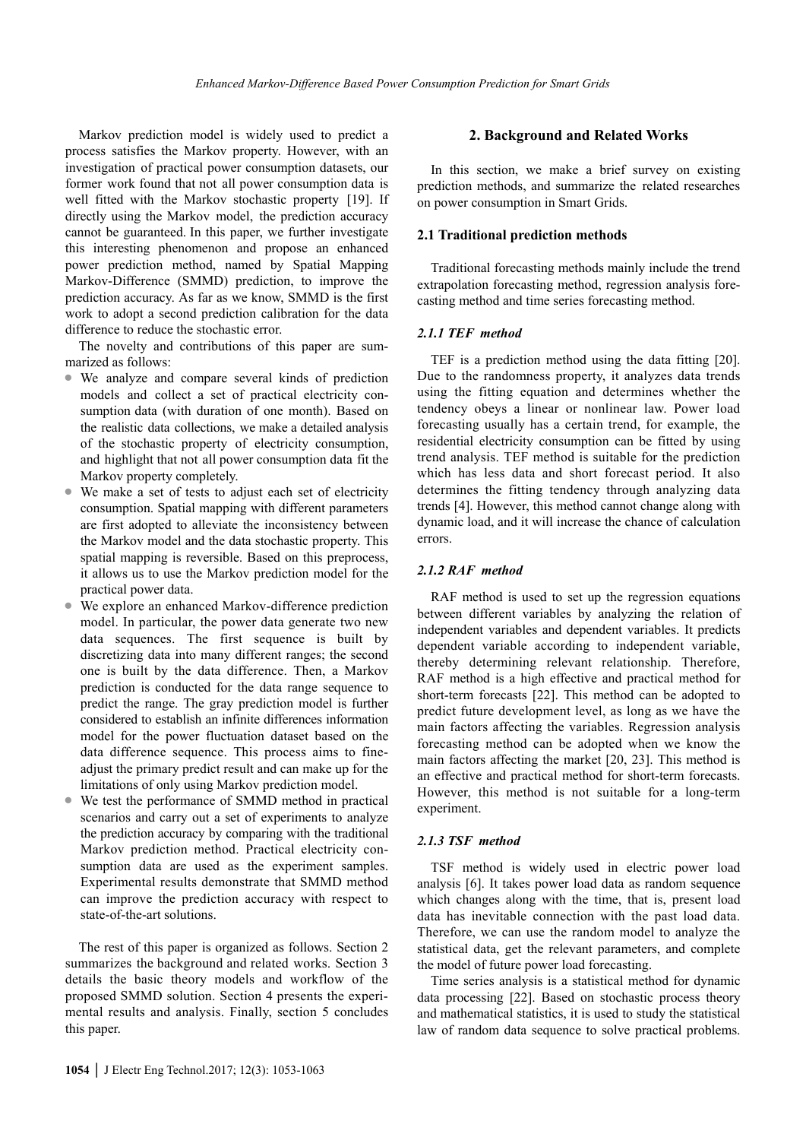Markov prediction model is widely used to predict a process satisfies the Markov property. However, with an investigation of practical power consumption datasets, our former work found that not all power consumption data is well fitted with the Markov stochastic property [19]. If directly using the Markov model, the prediction accuracy cannot be guaranteed. In this paper, we further investigate this interesting phenomenon and propose an enhanced power prediction method, named by Spatial Mapping Markov-Difference (SMMD) prediction, to improve the prediction accuracy. As far as we know, SMMD is the first work to adopt a second prediction calibration for the data difference to reduce the stochastic error.

The novelty and contributions of this paper are summarized as follows:

- We analyze and compare several kinds of prediction models and collect a set of practical electricity consumption data (with duration of one month). Based on the realistic data collections, we make a detailed analysis of the stochastic property of electricity consumption, and highlight that not all power consumption data fit the Markov property completely.
- $\bullet$  We make a set of tests to adjust each set of electricity consumption. Spatial mapping with different parameters are first adopted to alleviate the inconsistency between the Markov model and the data stochastic property. This spatial mapping is reversible. Based on this preprocess, it allows us to use the Markov prediction model for the practical power data.
- We explore an enhanced Markov-difference prediction model. In particular, the power data generate two new data sequences. The first sequence is built by discretizing data into many different ranges; the second one is built by the data difference. Then, a Markov prediction is conducted for the data range sequence to predict the range. The gray prediction model is further considered to establish an infinite differences information model for the power fluctuation dataset based on the data difference sequence. This process aims to fineadjust the primary predict result and can make up for the limitations of only using Markov prediction model.
- We test the performance of SMMD method in practical scenarios and carry out a set of experiments to analyze the prediction accuracy by comparing with the traditional Markov prediction method. Practical electricity consumption data are used as the experiment samples. Experimental results demonstrate that SMMD method can improve the prediction accuracy with respect to state-of-the-art solutions.

The rest of this paper is organized as follows. Section 2 summarizes the background and related works. Section 3 details the basic theory models and workflow of the proposed SMMD solution. Section 4 presents the experimental results and analysis. Finally, section 5 concludes this paper.

In this section, we make a brief survey on existing prediction methods, and summarize the related researches on power consumption in Smart Grids.

#### **2.1 Traditional prediction methods**

Traditional forecasting methods mainly include the trend extrapolation forecasting method, regression analysis forecasting method and time series forecasting method.

# *2.1.1 TEF method*

TEF is a prediction method using the data fitting [20]. Due to the randomness property, it analyzes data trends using the fitting equation and determines whether the tendency obeys a linear or nonlinear law. Power load forecasting usually has a certain trend, for example, the residential electricity consumption can be fitted by using trend analysis. TEF method is suitable for the prediction which has less data and short forecast period. It also determines the fitting tendency through analyzing data trends [4]. However, this method cannot change along with dynamic load, and it will increase the chance of calculation errors.

#### *2.1.2 RAF method*

RAF method is used to set up the regression equations between different variables by analyzing the relation of independent variables and dependent variables. It predicts dependent variable according to independent variable, thereby determining relevant relationship. Therefore, RAF method is a high effective and practical method for short-term forecasts [22]. This method can be adopted to predict future development level, as long as we have the main factors affecting the variables. Regression analysis forecasting method can be adopted when we know the main factors affecting the market [20, 23]. This method is an effective and practical method for short-term forecasts. However, this method is not suitable for a long-term experiment.

# *2.1.3 TSF method*

TSF method is widely used in electric power load analysis [6]. It takes power load data as random sequence which changes along with the time, that is, present load data has inevitable connection with the past load data. Therefore, we can use the random model to analyze the statistical data, get the relevant parameters, and complete the model of future power load forecasting.

Time series analysis is a statistical method for dynamic data processing [22]. Based on stochastic process theory and mathematical statistics, it is used to study the statistical law of random data sequence to solve practical problems.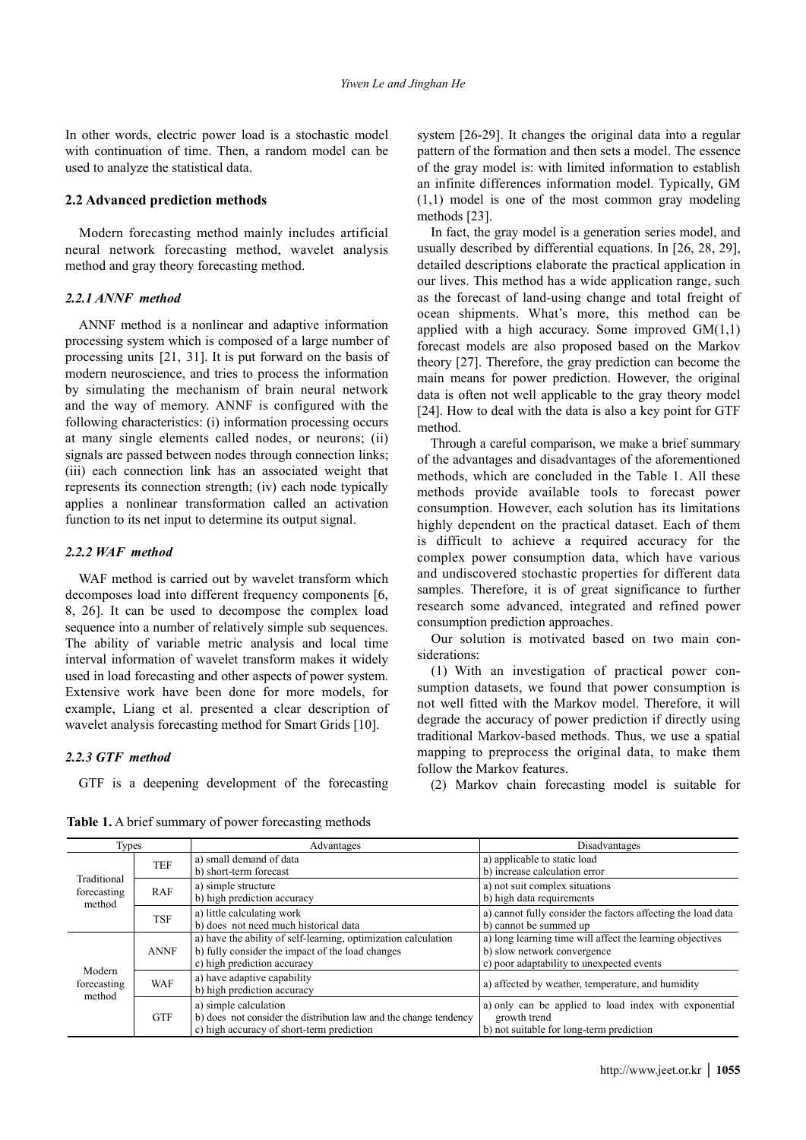In other words, electric power load is a stochastic model with continuation of time. Then, a random model can be used to analyze the statistical data.

#### **2.2 Advanced prediction methods**

Modern forecasting method mainly includes artificial neural network forecasting method, wavelet analysis method and gray theory forecasting method.

# *2.2.1 ANNF method*

ANNF method is a nonlinear and adaptive information processing system which is composed of a large number of processing units [21, 31]. It is put forward on the basis of modern neuroscience, and tries to process the information by simulating the mechanism of brain neural network and the way of memory. ANNF is configured with the following characteristics: (i) information processing occurs at many single elements called nodes, or neurons; (ii) signals are passed between nodes through connection links; (iii) each connection link has an associated weight that represents its connection strength; (iv) each node typically applies a nonlinear transformation called an activation function to its net input to determine its output signal.

#### *2.2.2 WAF method*

WAF method is carried out by wavelet transform which decomposes load into different frequency components [6, 8, 26]. It can be used to decompose the complex load sequence into a number of relatively simple sub sequences. The ability of variable metric analysis and local time interval information of wavelet transform makes it widely used in load forecasting and other aspects of power system. Extensive work have been done for more models, for example, Liang et al. presented a clear description of wavelet analysis forecasting method for Smart Grids [10].

#### *2.2.3 GTF method*

GTF is a deepening development of the forecasting

**Table 1.** A brief summary of power forecasting methods

system [26-29]. It changes the original data into a regular pattern of the formation and then sets a model. The essence of the gray model is: with limited information to establish an infinite differences information model. Typically, GM (1,1) model is one of the most common gray modeling methods [23].

In fact, the gray model is a generation series model, and usually described by differential equations. In [26, 28, 29], detailed descriptions elaborate the practical application in our lives. This method has a wide application range, such as the forecast of land-using change and total freight of ocean shipments. What's more, this method can be applied with a high accuracy. Some improved  $GM(1,1)$ forecast models are also proposed based on the Markov theory [27]. Therefore, the gray prediction can become the main means for power prediction. However, the original data is often not well applicable to the gray theory model [24]. How to deal with the data is also a key point for GTF method.

Through a careful comparison, we make a brief summary of the advantages and disadvantages of the aforementioned methods, which are concluded in the Table 1. All these methods provide available tools to forecast power consumption. However, each solution has its limitations highly dependent on the practical dataset. Each of them is difficult to achieve a required accuracy for the complex power consumption data, which have various and undiscovered stochastic properties for different data samples. Therefore, it is of great significance to further research some advanced, integrated and refined power consumption prediction approaches.

Our solution is motivated based on two main considerations:

(1) With an investigation of practical power consumption datasets, we found that power consumption is not well fitted with the Markov model. Therefore, it will degrade the accuracy of power prediction if directly using traditional Markov-based methods. Thus, we use a spatial mapping to preprocess the original data, to make them follow the Markov features.

(2) Markov chain forecasting model is suitable for

| <b>Types</b>                         |             | Advantages                                                                                                                                        | Disadvantages                                                                                                                         |  |
|--------------------------------------|-------------|---------------------------------------------------------------------------------------------------------------------------------------------------|---------------------------------------------------------------------------------------------------------------------------------------|--|
| Traditional<br>forecasting<br>method | <b>TEF</b>  | a) small demand of data<br>b) short-term forecast                                                                                                 | a) applicable to static load<br>b) increase calculation error                                                                         |  |
|                                      | RAF         | a) simple structure<br>b) high prediction accuracy                                                                                                | a) not suit complex situations<br>b) high data requirements                                                                           |  |
|                                      | <b>TSF</b>  | a) little calculating work<br>b) does not need much historical data                                                                               | a) cannot fully consider the factors affecting the load data<br>b) cannot be summed up                                                |  |
| Modern<br>forecasting<br>method      | <b>ANNF</b> | a) have the ability of self-learning, optimization calculation<br>b) fully consider the impact of the load changes<br>c) high prediction accuracy | a) long learning time will affect the learning objectives<br>b) slow network convergence<br>c) poor adaptability to unexpected events |  |
|                                      | <b>WAF</b>  | a) have adaptive capability<br>b) high prediction accuracy                                                                                        | a) affected by weather, temperature, and humidity                                                                                     |  |
|                                      | <b>GTF</b>  | a) simple calculation<br>b) does not consider the distribution law and the change tendency<br>c) high accuracy of short-term prediction           | a) only can be applied to load index with exponential<br>growth trend<br>b) not suitable for long-term prediction                     |  |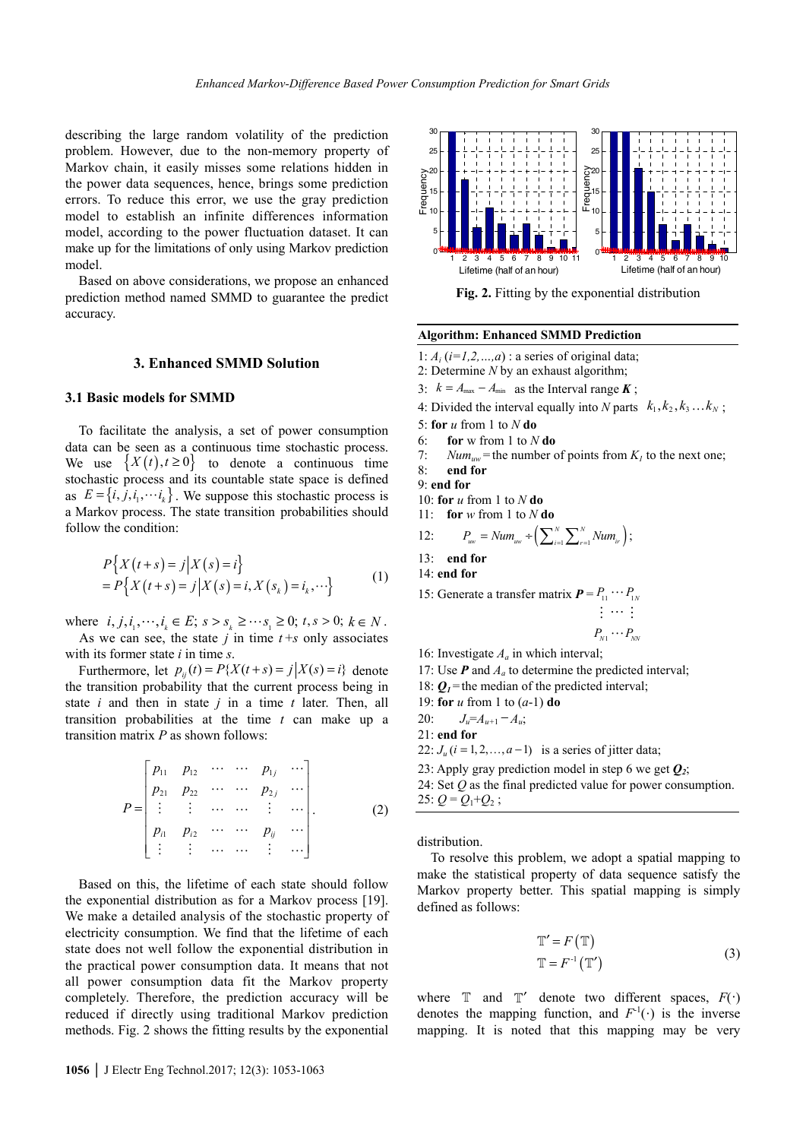describing the large random volatility of the prediction problem. However, due to the non-memory property of Markov chain, it easily misses some relations hidden in the power data sequences, hence, brings some prediction errors. To reduce this error, we use the gray prediction model to establish an infinite differences information model, according to the power fluctuation dataset. It can make up for the limitations of only using Markov prediction model.

Based on above considerations, we propose an enhanced prediction method named SMMD to guarantee the predict accuracy.

#### **3. Enhanced SMMD Solution**

# **3.1 Basic models for SMMD**

To facilitate the analysis, a set of power consumption data can be seen as a continuous time stochastic process. We use  $\{X(t), t \ge 0\}$  to denote a continuous time stochastic process and its countable state space is defined as  $E = \{i, j, i_1, \dots, i_k\}$ . We suppose this stochastic process is a Markov process. The state transition probabilities should follow the condition:

$$
P\{X(t+s) = j | X(s) = i\}
$$
  
=  $P\{X(t+s) = j | X(s) = i, X(s_k) = i_k, \cdots\}$  (1)

where  $i, j, i_1, \dots, i_k \in E$ ;  $s > s_k \geq \dots s_i \geq 0$ ;  $t, s > 0$ ;  $k \in N$ . As we can see, the state  $j$  in time  $t + s$  only associates with its former state *i* in time *s*.

Furthermore, let  $p_{ii}(t) = P\{X(t+s) = j | X(s) = i\}$  denote the transition probability that the current process being in state *i* and then in state *j* in a time *t* later. Then, all transition probabilities at the time *t* can make up a transition matrix *P* as shown follows:

$$
P = \begin{bmatrix} p_{11} & p_{12} & \cdots & \cdots & p_{1j} & \cdots \\ p_{21} & p_{22} & \cdots & \cdots & p_{2j} & \cdots \\ \vdots & \vdots & \cdots & \cdots & \vdots & \cdots \\ p_{i1} & p_{i2} & \cdots & \cdots & p_{ij} & \cdots \\ \vdots & \vdots & \cdots & \cdots & \vdots & \cdots \end{bmatrix} .
$$
 (2)

Based on this, the lifetime of each state should follow the exponential distribution as for a Markov process [19]. We make a detailed analysis of the stochastic property of electricity consumption. We find that the lifetime of each state does not well follow the exponential distribution in the practical power consumption data. It means that not all power consumption data fit the Markov property completely. Therefore, the prediction accuracy will be reduced if directly using traditional Markov prediction methods. Fig. 2 shows the fitting results by the exponential



**Fig. 2.** Fitting by the exponential distribution

#### **Algorithm: Enhanced SMMD Prediction**

- 1:  $A_i$  ( $i=1,2,...,a$ ) : a series of original data;
- 2: Determine *N* by an exhaust algorithm;
- 3:  $k = A_{\text{max}} A_{\text{min}}$  as the Interval range **K**;
- 4: Divided the interval equally into *N* parts  $k_1, k_2, k_3 \ldots k_N$ ;

5: **for** *u* from 1 to *N* **do**

- 6: **for** w from 1 to *N* **do**
- 7: *Num<sub>uw</sub>* = the number of points from  $K_l$  to the next one;

8: **end for**

- 9: **end for**
- 10: **for** *u* from 1 to *N* **do**
- 11: **for** *w* from 1 to *N* **do**

12: 
$$
P_{uw} = Num_{uw} \div \left( \sum_{i=1}^{N} \sum_{r=1}^{N} Num_{ir} \right);
$$

- 13: **end for**
- 14: **end for**
- 15: Generate a transfer matrix  $P = P_{11} \cdots P_{1N}$

$$
\vdots \ \cdots \ \vdots \\ P_{_{\scriptscriptstyle N1}} \cdots P_{_{\scriptscriptstyle N\!X\!Y}}
$$

16: Investigate *Aa* in which interval;

17: Use  $P$  and  $A_a$  to determine the predicted interval;

- 18:  $Q_1$  = the median of the predicted interval;
- 19: **for** *u* from 1 to (*a*-1) **do**
- 20:  $J_u = A_{u+1} A_u$ ;
- 21: **end for**
- 22:  $J_u$  ( $i = 1, 2, ..., a-1$ ) is a series of jitter data;
- 23: Apply gray prediction model in step 6 we get *Q2*;
- 24: Set *Q* as the final predicted value for power consumption. 25:  $Q = Q_1 + Q_2$ ;

distribution.

To resolve this problem, we adopt a spatial mapping to make the statistical property of data sequence satisfy the Markov property better. This spatial mapping is simply defined as follows:

$$
\mathbb{T}' = F(\mathbb{T})
$$
  
\n
$$
\mathbb{T} = F^{-1}(\mathbb{T}')
$$
\n(3)

where  $\mathbb T$  and  $\mathbb T'$  denote two different spaces,  $F(\cdot)$ denotes the mapping function, and  $F^{-1}(\cdot)$  is the inverse mapping. It is noted that this mapping may be very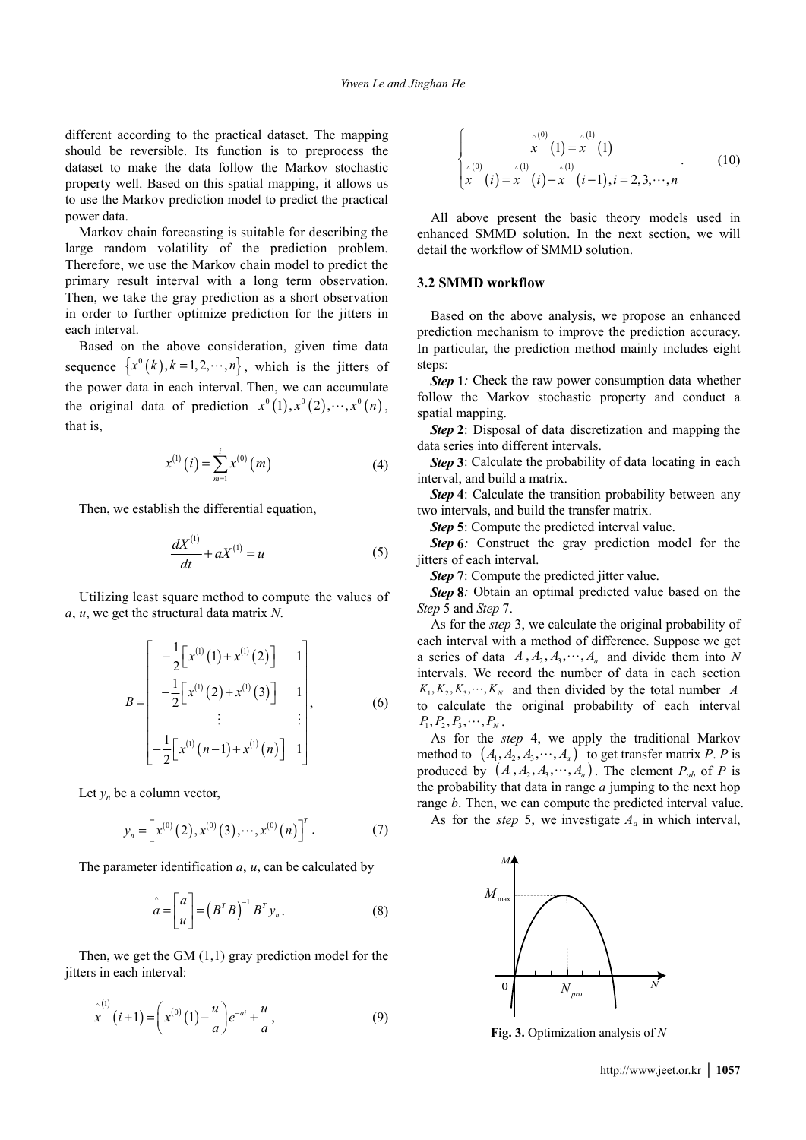different according to the practical dataset. The mapping should be reversible. Its function is to preprocess the dataset to make the data follow the Markov stochastic property well. Based on this spatial mapping, it allows us to use the Markov prediction model to predict the practical power data.

Markov chain forecasting is suitable for describing the large random volatility of the prediction problem. Therefore, we use the Markov chain model to predict the primary result interval with a long term observation. Then, we take the gray prediction as a short observation in order to further optimize prediction for the jitters in each interval.

Based on the above consideration, given time data sequence  $\{x^0(k), k=1, 2, \dots, n\}$ , which is the jitters of the power data in each interval. Then, we can accumulate the original data of prediction  $x^0(1), x^0(2), \dots, x^0(n)$ , that is,

$$
x^{(1)}(i) = \sum_{m=1}^{i} x^{(0)}(m)
$$
 (4)

Then, we establish the differential equation,

$$
\frac{dX^{(1)}}{dt} + aX^{(1)} = u \tag{5}
$$

Utilizing least square method to compute the values of *a*, *u*, we get the structural data matrix *N*.

$$
B = \begin{bmatrix} -\frac{1}{2} \begin{bmatrix} x^{(1)}(1) + x^{(1)}(2) \end{bmatrix} & 1 \\ -\frac{1}{2} \begin{bmatrix} x^{(1)}(2) + x^{(1)}(3) \end{bmatrix} & 1 \\ \vdots & \vdots \\ -\frac{1}{2} \begin{bmatrix} x^{(1)}(n-1) + x^{(1)}(n) \end{bmatrix} & 1 \end{bmatrix}, \qquad (6)
$$

Let  $y_n$  be a column vector,

$$
y_n = \left[ x^{(0)}(2), x^{(0)}(3), \cdots, x^{(0)}(n) \right]^T.
$$
 (7)

The parameter identification *a*, *u*, can be calculated by

$$
\hat{a} = \begin{bmatrix} a \\ u \end{bmatrix} = \left( B^T B \right)^{-1} B^T y_n. \tag{8}
$$

Then, we get the GM  $(1,1)$  gray prediction model for the jitters in each interval:

$$
\mathbf{x}^{(1)}(i+1) = \left(\mathbf{x}^{(0)}(1) - \frac{u}{a}\right) e^{-ai} + \frac{u}{a},\tag{9}
$$

$$
\begin{cases}\n\hat{x}^{(0)}(1) = \hat{x}^{(1)}(1) \\
\hat{x}^{(0)}(i) = \hat{x}^{(1)}(i) - \hat{x}^{(1)}(i-1), i = 2, 3, \cdots, n\n\end{cases}
$$
\n(10)

All above present the basic theory models used in enhanced SMMD solution. In the next section, we will detail the workflow of SMMD solution.

# **3.2 SMMD workflow**

Based on the above analysis, we propose an enhanced prediction mechanism to improve the prediction accuracy. In particular, the prediction method mainly includes eight steps:

*Step* **1***:* Check the raw power consumption data whether follow the Markov stochastic property and conduct a spatial mapping.

*Step* **2**: Disposal of data discretization and mapping the data series into different intervals.

*Step 3*: Calculate the probability of data locating in each interval, and build a matrix.

*Step 4*: Calculate the transition probability between any two intervals, and build the transfer matrix.

*Step* **5**: Compute the predicted interval value.

*Step 6*: Construct the gray prediction model for the jitters of each interval.

*Step* **7**: Compute the predicted jitter value.

*Step 8*: Obtain an optimal predicted value based on the *Step* 5 and *Step* 7.

As for the *step* 3, we calculate the original probability of each interval with a method of difference. Suppose we get a series of data  $A_1, A_2, A_3, \dots, A_a$  and divide them into *N* intervals. We record the number of data in each section  $K_1, K_2, K_3, \dots, K_N$  and then divided by the total number *A* to calculate the original probability of each interval  $P_1, P_2, P_3, \cdots, P_N$ .

As for the *step* 4, we apply the traditional Markov method to  $(A_1, A_2, A_3, \dots, A_a)$  to get transfer matrix *P*. *P* is produced by  $(A_1, A_2, A_3, \dots, A_a)$ . The element  $P_{ab}$  of P is the probability that data in range *a* jumping to the next hop range *b*. Then, we can compute the predicted interval value.

As for the *step* 5, we investigate  $A_a$  in which interval,



**Fig. 3.** Optimization analysis of *N*

http://www.jeet.or.kr **│ 1057**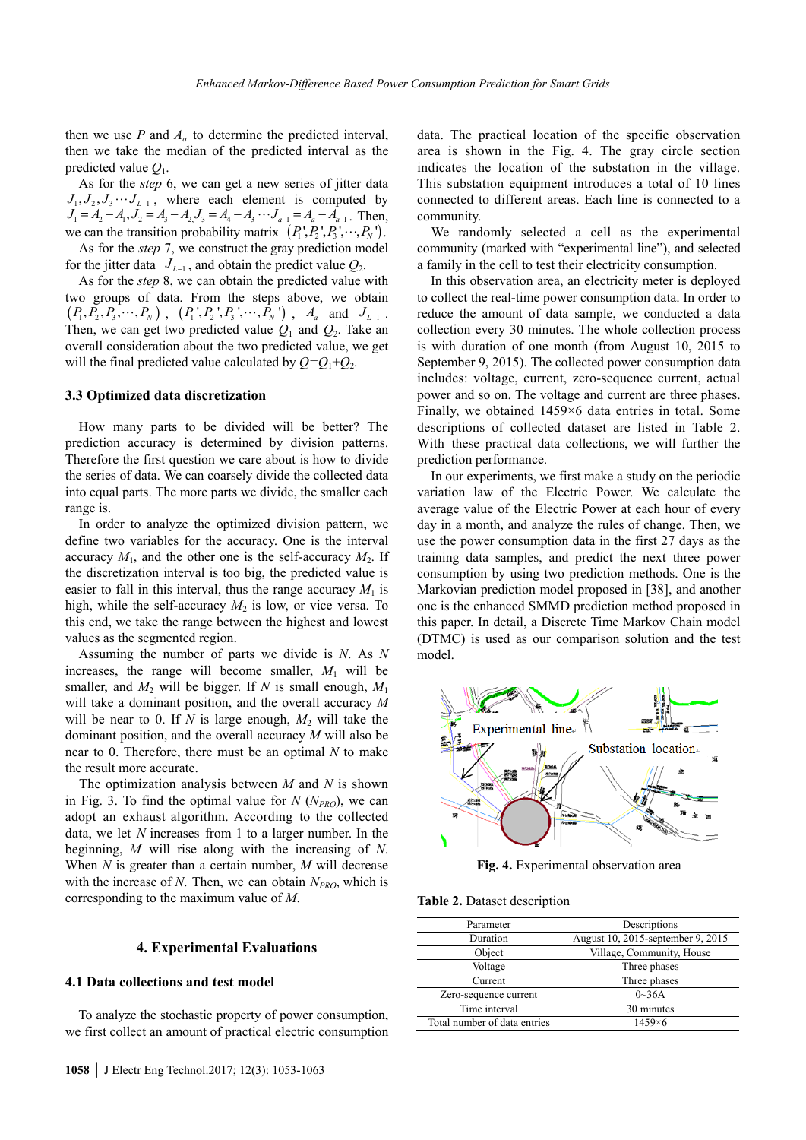then we use  $P$  and  $A_a$  to determine the predicted interval, then we take the median of the predicted interval as the predicted value *Q*1.

As for the *step* 6, we can get a new series of jitter data  $J_1, J_2, J_3 \cdots J_{L-1}$ , where each element is computed by  $J_1 = A_2 - A_1, J_2 = A_3 - A_2, J_3 = A_4 - A_3 \cdots J_{a-1} = A_a - A_{a-1}$ . Then, we can the transition probability matrix  $(P_1, P_2, P_3, \dots, P_N)$ . As for the *step* 7, we construct the gray prediction model

for the jitter data  $J_{L-1}$ , and obtain the predict value  $Q_2$ .

As for the *step* 8, we can obtain the predicted value with two groups of data. From the steps above, we obtain  $(P_1, P_2, P_3, \cdots, P_N)$ ,  $(P_1, P_2, P_3, \cdots, P_N)$ ,  $A_a$  and  $J_{L-1}$ . Then, we can get two predicted value  $Q_1$  and  $Q_2$ . Take an overall consideration about the two predicted value, we get will the final predicted value calculated by  $Q = Q_1 + Q_2$ .

# **3.3 Optimized data discretization**

How many parts to be divided will be better? The prediction accuracy is determined by division patterns. Therefore the first question we care about is how to divide the series of data. We can coarsely divide the collected data into equal parts. The more parts we divide, the smaller each range is.

In order to analyze the optimized division pattern, we define two variables for the accuracy. One is the interval accuracy  $M_1$ , and the other one is the self-accuracy  $M_2$ . If the discretization interval is too big, the predicted value is easier to fall in this interval, thus the range accuracy  $M_1$  is high, while the self-accuracy  $M_2$  is low, or vice versa. To this end, we take the range between the highest and lowest values as the segmented region.

Assuming the number of parts we divide is *N*. As *N* increases, the range will become smaller,  $M_1$  will be smaller, and  $M_2$  will be bigger. If *N* is small enough,  $M_1$ will take a dominant position, and the overall accuracy *M* will be near to 0. If  $N$  is large enough,  $M_2$  will take the dominant position, and the overall accuracy *M* will also be near to 0. Therefore, there must be an optimal *N* to make the result more accurate.

The optimization analysis between *M* and *N* is shown in Fig. 3. To find the optimal value for  $N(N_{PRO})$ , we can adopt an exhaust algorithm. According to the collected data, we let *N* increases from 1 to a larger number. In the beginning, *M* will rise along with the increasing of *N*. When *N* is greater than a certain number, *M* will decrease with the increase of  $N$ . Then, we can obtain  $N_{PRO}$ , which is corresponding to the maximum value of *M*.

# **4. Experimental Evaluations**

### **4.1 Data collections and test model**

To analyze the stochastic property of power consumption, we first collect an amount of practical electric consumption data. The practical location of the specific observation area is shown in the Fig. 4. The gray circle section indicates the location of the substation in the village. This substation equipment introduces a total of 10 lines connected to different areas. Each line is connected to a community.

We randomly selected a cell as the experimental community (marked with "experimental line"), and selected a family in the cell to test their electricity consumption.

In this observation area, an electricity meter is deployed to collect the real-time power consumption data. In order to reduce the amount of data sample, we conducted a data collection every 30 minutes. The whole collection process is with duration of one month (from August 10, 2015 to September 9, 2015). The collected power consumption data includes: voltage, current, zero-sequence current, actual power and so on. The voltage and current are three phases. Finally, we obtained 1459×6 data entries in total. Some descriptions of collected dataset are listed in Table 2. With these practical data collections, we will further the prediction performance.

In our experiments, we first make a study on the periodic variation law of the Electric Power. We calculate the average value of the Electric Power at each hour of every day in a month, and analyze the rules of change. Then, we use the power consumption data in the first 27 days as the training data samples, and predict the next three power consumption by using two prediction methods. One is the Markovian prediction model proposed in [38], and another one is the enhanced SMMD prediction method proposed in this paper. In detail, a Discrete Time Markov Chain model (DTMC) is used as our comparison solution and the test model.



**Fig. 4.** Experimental observation area

**Table 2.** Dataset description

| Parameter                    | Descriptions                      |  |  |
|------------------------------|-----------------------------------|--|--|
| Duration                     | August 10, 2015-september 9, 2015 |  |  |
| Object                       | Village, Community, House         |  |  |
| Voltage                      | Three phases                      |  |  |
| Current                      | Three phases                      |  |  |
| Zero-sequence current        | $0\sim 36A$                       |  |  |
| Time interval                | 30 minutes                        |  |  |
| Total number of data entries | $1459\times 6$                    |  |  |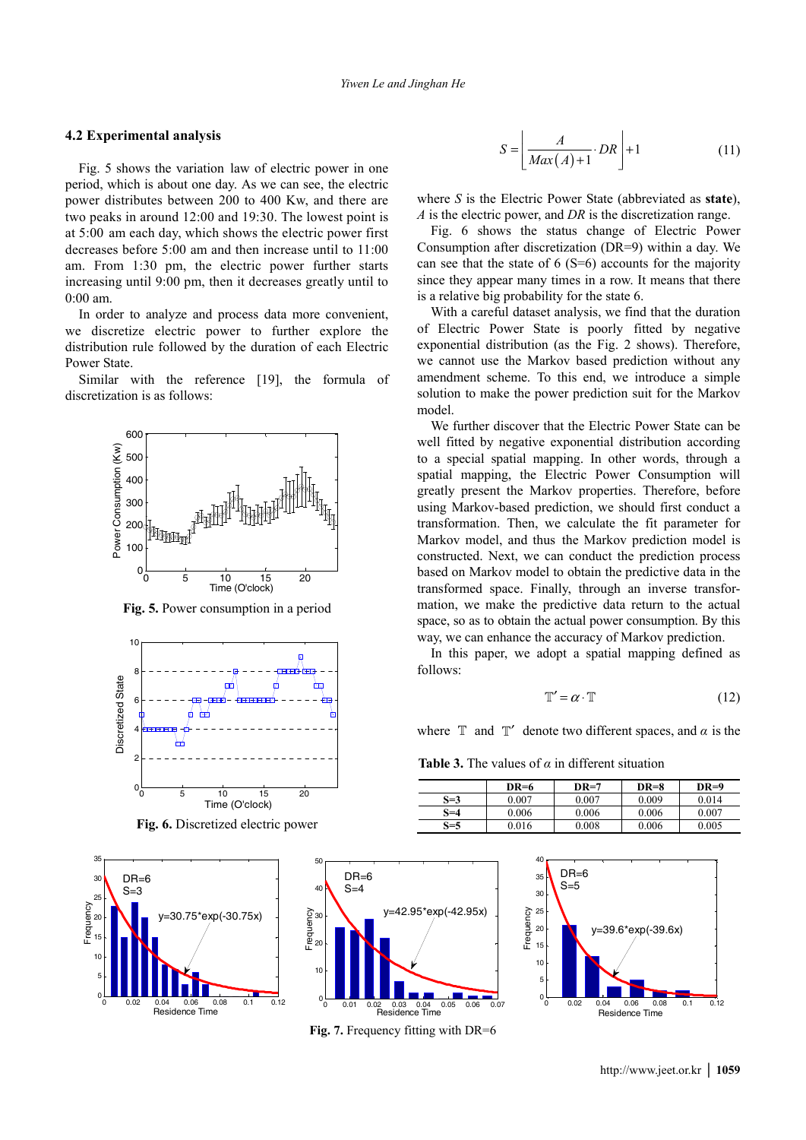#### **4.2 Experimental analysis**

Fig. 5 shows the variation law of electric power in one period, which is about one day. As we can see, the electric power distributes between 200 to 400 Kw, and there are two peaks in around 12:00 and 19:30. The lowest point is at 5:00 am each day, which shows the electric power first decreases before 5:00 am and then increase until to 11:00 am. From 1:30 pm, the electric power further starts increasing until 9:00 pm, then it decreases greatly until to 0:00 am.

In order to analyze and process data more convenient, we discretize electric power to further explore the distribution rule followed by the duration of each Electric Power State.

Similar with the reference [19], the formula of discretization is as follows:



**Fig. 5.** Power consumption in a period



**Fig. 6.** Discretized electric power





**Fig. 7.** Frequency fitting with DR=6

$$
S = \left[ \frac{A}{Max(A) + 1} \cdot DR \right] + 1 \tag{11}
$$

where *S* is the Electric Power State (abbreviated as **state**), *A* is the electric power, and *DR* is the discretization range.

Fig. 6 shows the status change of Electric Power Consumption after discretization (DR=9) within a day. We can see that the state of  $6 (S=6)$  accounts for the majority since they appear many times in a row. It means that there is a relative big probability for the state 6.

With a careful dataset analysis, we find that the duration of Electric Power State is poorly fitted by negative exponential distribution (as the Fig. 2 shows). Therefore, we cannot use the Markov based prediction without any amendment scheme. To this end, we introduce a simple solution to make the power prediction suit for the Markov model.

We further discover that the Electric Power State can be well fitted by negative exponential distribution according to a special spatial mapping. In other words, through a spatial mapping, the Electric Power Consumption will greatly present the Markov properties. Therefore, before using Markov-based prediction, we should first conduct a transformation. Then, we calculate the fit parameter for Markov model, and thus the Markov prediction model is constructed. Next, we can conduct the prediction process based on Markov model to obtain the predictive data in the transformed space. Finally, through an inverse transformation, we make the predictive data return to the actual space, so as to obtain the actual power consumption. By this way, we can enhance the accuracy of Markov prediction.

In this paper, we adopt a spatial mapping defined as follows:

$$
\mathbb{T}' = \alpha \cdot \mathbb{T} \tag{12}
$$

where  $\mathbb{T}$  and  $\mathbb{T}'$  denote two different spaces, and  $\alpha$  is the

**Table 3.** The values of  $\alpha$  in different situation

|       | $DR=6$ | $DR=7$ | $DR=8$ | $DR=9$ |
|-------|--------|--------|--------|--------|
| $S=3$ | 0.007  | 0.007  | 0.009  | 0.014  |
| S=4   | 0.006  | 0.006  | 0.006  | 0.007  |
| $S=5$ | 0.016  | 0.008  | 0.006  | 0.005  |

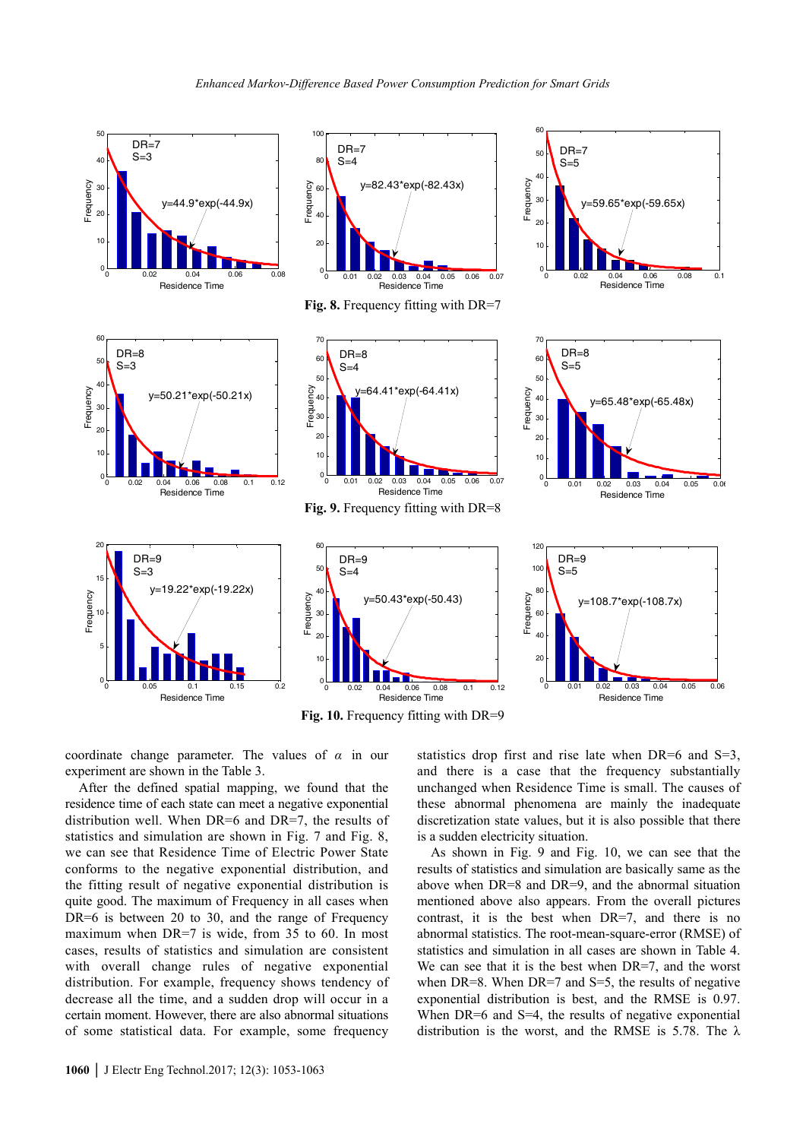

**Fig. 10.** Frequency fitting with DR=9

coordinate change parameter. The values of *α* in our experiment are shown in the Table 3.

After the defined spatial mapping, we found that the residence time of each state can meet a negative exponential distribution well. When DR=6 and DR=7, the results of statistics and simulation are shown in Fig. 7 and Fig. 8, we can see that Residence Time of Electric Power State conforms to the negative exponential distribution, and the fitting result of negative exponential distribution is quite good. The maximum of Frequency in all cases when DR=6 is between 20 to 30, and the range of Frequency maximum when DR=7 is wide, from 35 to 60. In most cases, results of statistics and simulation are consistent with overall change rules of negative exponential distribution. For example, frequency shows tendency of decrease all the time, and a sudden drop will occur in a certain moment. However, there are also abnormal situations of some statistical data. For example, some frequency statistics drop first and rise late when DR=6 and S=3, and there is a case that the frequency substantially unchanged when Residence Time is small. The causes of these abnormal phenomena are mainly the inadequate discretization state values, but it is also possible that there is a sudden electricity situation.

As shown in Fig. 9 and Fig. 10, we can see that the results of statistics and simulation are basically same as the above when DR=8 and DR=9, and the abnormal situation mentioned above also appears. From the overall pictures contrast, it is the best when DR=7, and there is no abnormal statistics. The root-mean-square-error (RMSE) of statistics and simulation in all cases are shown in Table 4. We can see that it is the best when DR=7, and the worst when  $DR=8$ . When  $DR=7$  and  $S=5$ , the results of negative exponential distribution is best, and the RMSE is 0.97. When DR=6 and S=4, the results of negative exponential distribution is the worst, and the RMSE is 5.78. The  $\lambda$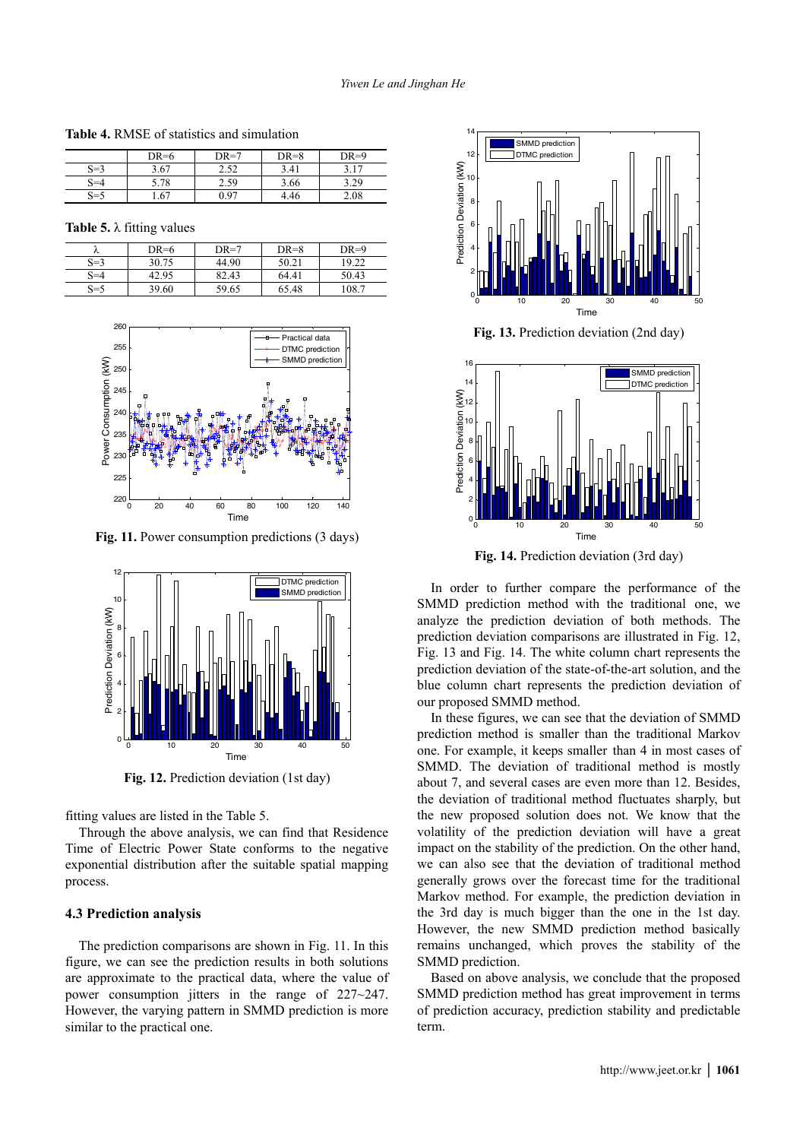**Table 4.** RMSE of statistics and simulation

|         | $DR=6$ | $DR=7$ | $DR=8$ | $DR=9$ |
|---------|--------|--------|--------|--------|
| $S=3$   | 3.67   | 2.52   | 3.41   | 3.17   |
| $S = 4$ | 5.78   | 2.59   | 3.66   | 3.29   |
| $S = 5$ | . .67  | 0.97   | 4.46   | 2.08   |

|  |  |  |  | Table 5. $\lambda$ fitting values |
|--|--|--|--|-----------------------------------|
|--|--|--|--|-----------------------------------|

| $\sim$  | $DR=6$ | $DR=7$ | $DR=8$ | $DR=9$ |
|---------|--------|--------|--------|--------|
| $S=3$   | 30.75  | 44.90  | 50.21  | 19.22  |
| $S = 4$ | 42.95  | 82.43  | 64.41  | 50.43  |
| $S = 5$ | 39.60  | 59.65  | 65.48  | 108.7  |



**Fig. 11.** Power consumption predictions (3 days)



**Fig. 12.** Prediction deviation (1st day)

fitting values are listed in the Table 5.

Through the above analysis, we can find that Residence Time of Electric Power State conforms to the negative exponential distribution after the suitable spatial mapping process.

# **4.3 Prediction analysis**

The prediction comparisons are shown in Fig. 11. In this figure, we can see the prediction results in both solutions are approximate to the practical data, where the value of power consumption jitters in the range of 227~247. However, the varying pattern in SMMD prediction is more similar to the practical one.



Time **Fig. 14.** Prediction deviation (3rd day)

<sup>0</sup> <sup>10</sup> <sup>20</sup> <sup>30</sup> <sup>40</sup> <sup>50</sup> <sup>0</sup>

In order to further compare the performance of the SMMD prediction method with the traditional one, we analyze the prediction deviation of both methods. The prediction deviation comparisons are illustrated in Fig. 12, Fig. 13 and Fig. 14. The white column chart represents the prediction deviation of the state-of-the-art solution, and the blue column chart represents the prediction deviation of our proposed SMMD method.

In these figures, we can see that the deviation of SMMD prediction method is smaller than the traditional Markov one. For example, it keeps smaller than 4 in most cases of SMMD. The deviation of traditional method is mostly about 7, and several cases are even more than 12. Besides, the deviation of traditional method fluctuates sharply, but the new proposed solution does not. We know that the volatility of the prediction deviation will have a great impact on the stability of the prediction. On the other hand, we can also see that the deviation of traditional method generally grows over the forecast time for the traditional Markov method. For example, the prediction deviation in the 3rd day is much bigger than the one in the 1st day. However, the new SMMD prediction method basically remains unchanged, which proves the stability of the SMMD prediction.

Based on above analysis, we conclude that the proposed SMMD prediction method has great improvement in terms of prediction accuracy, prediction stability and predictable term.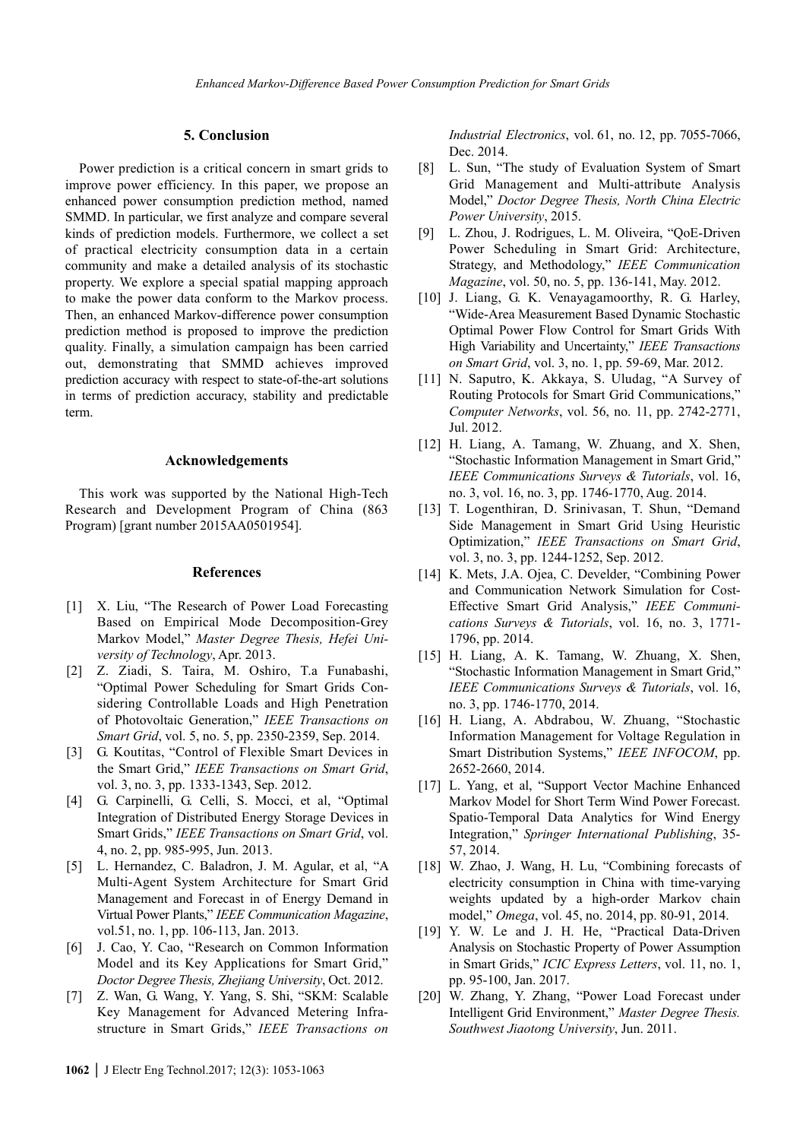### **5. Conclusion**

Power prediction is a critical concern in smart grids to improve power efficiency. In this paper, we propose an enhanced power consumption prediction method, named SMMD. In particular, we first analyze and compare several kinds of prediction models. Furthermore, we collect a set of practical electricity consumption data in a certain community and make a detailed analysis of its stochastic property. We explore a special spatial mapping approach to make the power data conform to the Markov process. Then, an enhanced Markov-difference power consumption prediction method is proposed to improve the prediction quality. Finally, a simulation campaign has been carried out, demonstrating that SMMD achieves improved prediction accuracy with respect to state-of-the-art solutions in terms of prediction accuracy, stability and predictable term.

#### **Acknowledgements**

This work was supported by the National High-Tech Research and Development Program of China (863 Program) [grant number 2015AA0501954].

#### **References**

- [1] X. Liu, "The Research of Power Load Forecasting Based on Empirical Mode Decomposition-Grey Markov Model," *Master Degree Thesis, Hefei University of Technology*, Apr. 2013.
- [2] Z. Ziadi, S. Taira, M. Oshiro, T.a Funabashi, "Optimal Power Scheduling for Smart Grids Considering Controllable Loads and High Penetration of Photovoltaic Generation," *IEEE Transactions on Smart Grid*, vol. 5, no. 5, pp. 2350-2359, Sep. 2014.
- [3] G. Koutitas, "Control of Flexible Smart Devices in the Smart Grid," *IEEE Transactions on Smart Grid*, vol. 3, no. 3, pp. 1333-1343, Sep. 2012.
- [4] G. Carpinelli, G. Celli, S. Mocci, et al, "Optimal Integration of Distributed Energy Storage Devices in Smart Grids," *IEEE Transactions on Smart Grid*, vol. 4, no. 2, pp. 985-995, Jun. 2013.
- [5] L. Hernandez, C. Baladron, J. M. Agular, et al, "A Multi-Agent System Architecture for Smart Grid Management and Forecast in of Energy Demand in Virtual Power Plants," *IEEE Communication Magazine*, vol.51, no. 1, pp. 106-113, Jan. 2013.
- [6] J. Cao, Y. Cao, "Research on Common Information Model and its Key Applications for Smart Grid," *Doctor Degree Thesis, Zhejiang University*, Oct. 2012.
- [7] Z. Wan, G. Wang, Y. Yang, S. Shi, "SKM: Scalable Key Management for Advanced Metering Infrastructure in Smart Grids," *IEEE Transactions on*

*Industrial Electronics*, vol. 61, no. 12, pp. 7055-7066, Dec. 2014.

- [8] L. Sun, "The study of Evaluation System of Smart Grid Management and Multi-attribute Analysis Model," *Doctor Degree Thesis, North China Electric Power University*, 2015.
- [9] L. Zhou, J. Rodrigues, L. M. Oliveira, "QoE-Driven Power Scheduling in Smart Grid: Architecture, Strategy, and Methodology," *IEEE Communication Magazine*, vol. 50, no. 5, pp. 136-141, May. 2012.
- [10] J. Liang, G. K. Venayagamoorthy, R. G. Harley, "Wide-Area Measurement Based Dynamic Stochastic Optimal Power Flow Control for Smart Grids With High Variability and Uncertainty," *IEEE Transactions on Smart Grid*, vol. 3, no. 1, pp. 59-69, Mar. 2012.
- [11] N. Saputro, K. Akkaya, S. Uludag, "A Survey of Routing Protocols for Smart Grid Communications," *Computer Networks*, vol. 56, no. 11, pp. 2742-2771, Jul. 2012.
- [12] H. Liang, A. Tamang, W. Zhuang, and X. Shen, "Stochastic Information Management in Smart Grid," *IEEE Communications Surveys & Tutorials*, vol. 16, no. 3, vol. 16, no. 3, pp. 1746-1770, Aug. 2014.
- [13] T. Logenthiran, D. Srinivasan, T. Shun, "Demand Side Management in Smart Grid Using Heuristic Optimization," *IEEE Transactions on Smart Grid*, vol. 3, no. 3, pp. 1244-1252, Sep. 2012.
- [14] K. Mets, J.A. Ojea, C. Develder, "Combining Power and Communication Network Simulation for Cost-Effective Smart Grid Analysis," *IEEE Communications Surveys & Tutorials*, vol. 16, no. 3, 1771- 1796, pp. 2014.
- [15] H. Liang, A. K. Tamang, W. Zhuang, X. Shen, "Stochastic Information Management in Smart Grid," *IEEE Communications Surveys & Tutorials*, vol. 16, no. 3, pp. 1746-1770, 2014.
- [16] H. Liang, A. Abdrabou, W. Zhuang, "Stochastic Information Management for Voltage Regulation in Smart Distribution Systems," *IEEE INFOCOM*, pp. 2652-2660, 2014.
- [17] L. Yang, et al, "Support Vector Machine Enhanced Markov Model for Short Term Wind Power Forecast. Spatio-Temporal Data Analytics for Wind Energy Integration," *Springer International Publishing*, 35- 57, 2014.
- [18] W. Zhao, J. Wang, H. Lu, "Combining forecasts of electricity consumption in China with time-varying weights updated by a high-order Markov chain model," *Omega*, vol. 45, no. 2014, pp. 80-91, 2014.
- [19] Y. W. Le and J. H. He, "Practical Data-Driven Analysis on Stochastic Property of Power Assumption in Smart Grids," *ICIC Express Letters*, vol. 11, no. 1, pp. 95-100, Jan. 2017.
- [20] W. Zhang, Y. Zhang, "Power Load Forecast under Intelligent Grid Environment," *Master Degree Thesis. Southwest Jiaotong University*, Jun. 2011.